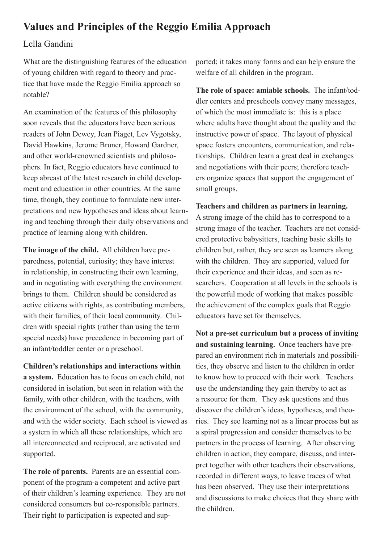## **Values and Principles of the Reggio Emilia Approach**

Lella Gandini

What are the distinguishing features of the education tice that have made the Reggio Emilia approach so of young children with regard to theory and prac-?notable

An examination of the features of this philosophy soon reveals that the educators have been serious readers of John Dewey, Jean Piaget, Lev Vygotsky, David Hawkins, Jerome Bruner, Howard Gardner, to phers. In fact, Reggio educators have continued to and other world-renowned scientists and philosokeep abreast of the latest research in child develop-<br>ment and education in other countries. At the same ing and teaching through their daily observations and pretations and new hypotheses and ideas about learntime, though, they continue to formulate new interpractice of learning along with children.

paredness, potential, curiosity; they have interest The image of the child. All children have prein relationship, in constructing their own learning. and in negotiating with everything the environment brings to them. Children should be considered as active citizens with rights, as contributing members, dren with special rights (rather than using the termwith their families, of their local community. Chilspecial needs) have precedence in becoming part of an infant/toddler center or a preschool.

**Children's relationships and interactions within** a system. Education has to focus on each child, not considered in isolation, but seen in relation with the family, with other children, with the teachers, with the environment of the school, with the community, and with the wider society. Each school is viewed as a system in which all these relationships, which are all interconnected and reciprocal, are activated and supported.

ponent of the program-a competent and active part The role of parents. Parents are an essential comof their children's learning experience. They are not considered consumers but co-responsible partners. Their right to participation is expected and supwelfare of all children in the program.

dler centers and preschools convey many messages, The role of space: amiable schools. The infant/todof which the most immediate is: this is a place where adults have thought about the quality and the instructive power of space. The layout of physical tionships. Children learn a great deal in exchanges space fosters encounters, communication, and relaers organize spaces that support the engagement of and negotiations with their peers; therefore teachsmall groups.

## Teachers and children as partners in learning.

A strong image of the child has to correspond to a ered protective babysitters, teaching basic skills to strong image of the teacher. Teachers are not considchildren but, rather, they are seen as learners along with the children. They are supported, valued for searchers. Cooperation at all levels in the schools is their experience and their ideas, and seen as rethe powerful mode of working that makes possible the achievement of the complex goals that Reggio educators have set for themselves

compared, it takes many forms and can help ensure the<br>
anco-<br>
In so<br>
the ord space; annihing the program.<br>
The relate of all children in the program.<br>
The relate of space: and preschools convey many messages,<br>
of which the Not a pre-set curriculum but a process of inviting ties, they observe and listen to the children in order pared an environment rich in materials and possibiliand sustaining learning. Once teachers have preto know how to proceed with their work. Teachers use the understanding they gain thereby to act as a resource for them. They ask questions and thus ries. They see learning not as a linear process but as discover the children's ideas, hypotheses, and theoa spiral progression and consider themselves to be partners in the process of learning. After observing pret together with other teachers their observations, children in action, they compare, discuss, and interrecorded in different ways, to leave traces of what has been observed. They use their interpretations and discussions to make choices that they share with the children